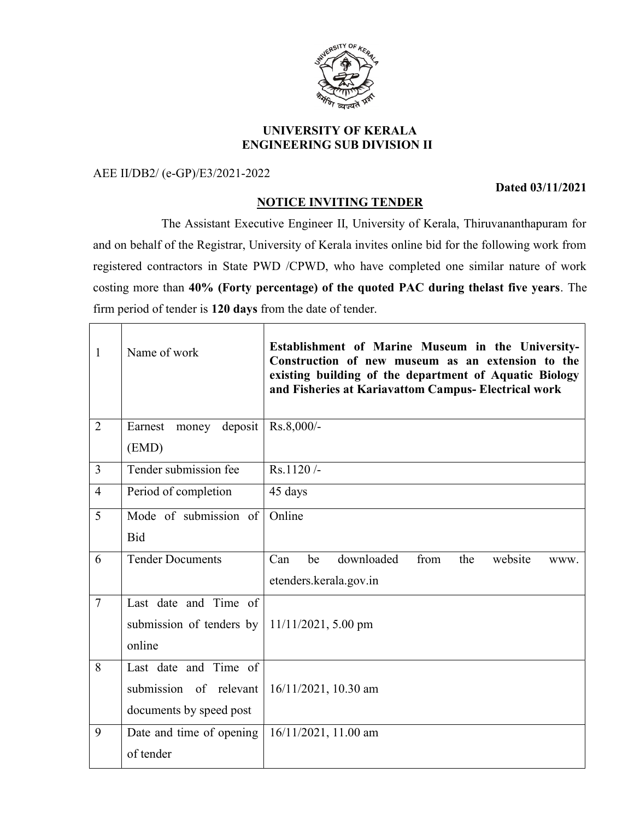

## UNIVERSITY OF KERALA ENGINEERING SUB DIVISION II

AEE II/DB2/ (e-GP)/E3/2021-2022

 $\Gamma$ 

Dated 03/11/2021

٦

## NOTICE INVITING TENDER

 The Assistant Executive Engineer II, University of Kerala, Thiruvananthapuram for and on behalf of the Registrar, University of Kerala invites online bid for the following work from registered contractors in State PWD /CPWD, who have completed one similar nature of work costing more than 40% (Forty percentage) of the quoted PAC during thelast five years. The firm period of tender is 120 days from the date of tender.

| $\mathbf{1}$   | Name of work                | Establishment of Marine Museum in the University-<br>Construction of new museum as an extension to the<br>existing building of the department of Aquatic Biology<br>and Fisheries at Kariavattom Campus- Electrical work |  |
|----------------|-----------------------------|--------------------------------------------------------------------------------------------------------------------------------------------------------------------------------------------------------------------------|--|
| $\overline{2}$ | Earnest<br>deposit<br>money | $Rs.8,000/-$                                                                                                                                                                                                             |  |
|                | (EMD)                       |                                                                                                                                                                                                                          |  |
| $\overline{3}$ | Tender submission fee       | Rs.1120/-                                                                                                                                                                                                                |  |
| $\overline{4}$ | Period of completion        | 45 days                                                                                                                                                                                                                  |  |
| 5              | Mode of submission of       | Online                                                                                                                                                                                                                   |  |
|                | <b>Bid</b>                  |                                                                                                                                                                                                                          |  |
| 6              | <b>Tender Documents</b>     | downloaded<br>from<br>website<br>Can<br>be<br>the<br>www.                                                                                                                                                                |  |
|                |                             | etenders.kerala.gov.in                                                                                                                                                                                                   |  |
| $\overline{7}$ | Last date and Time of       |                                                                                                                                                                                                                          |  |
|                | submission of tenders by    | $11/11/2021$ , 5.00 pm                                                                                                                                                                                                   |  |
|                | online                      |                                                                                                                                                                                                                          |  |
| 8              | Last date and Time of       |                                                                                                                                                                                                                          |  |
|                | submission of relevant      | $16/11/2021$ , 10.30 am                                                                                                                                                                                                  |  |
|                | documents by speed post     |                                                                                                                                                                                                                          |  |
| 9              | Date and time of opening    | 16/11/2021, 11.00 am                                                                                                                                                                                                     |  |
|                | of tender                   |                                                                                                                                                                                                                          |  |